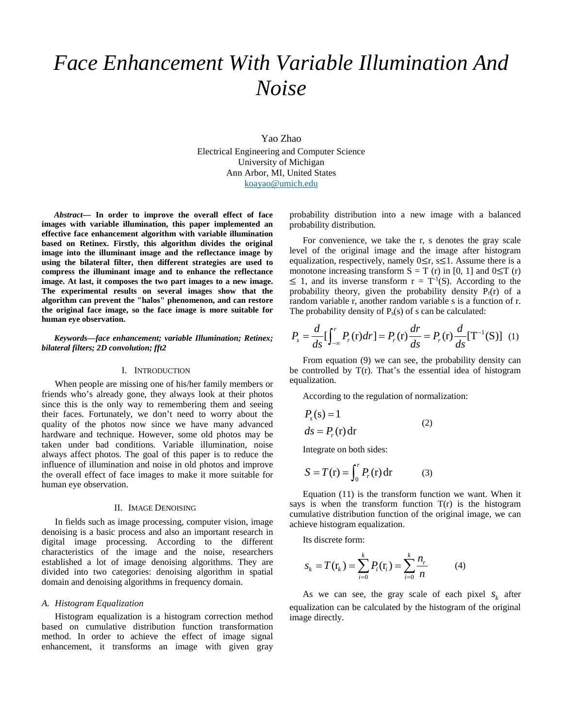# *Face Enhancement With Variable Illumination And Noise*

Yao Zhao Electrical Engineering and Computer Science University of Michigan Ann Arbor, MI, United States [koayao@umich.edu](mailto:koayao@umich.edu)

*Abstract***— In order to improve the overall effect of face images with variable illumination, this paper implemented an effective face enhancement algorithm with variable illumination based on Retinex. Firstly, this algorithm divides the original image into the illuminant image and the reflectance image by using the bilateral filter, then different strategies are used to compress the illuminant image and to enhance the reflectance image. At last, it composes the two part images to a new image. The experimental results on several images show that the algorithm can prevent the "halos" phenomenon, and can restore the original face image, so the face image is more suitable for human eye observation.** 

## *Keywords—face enhancement; variable Illumination; Retinex; bilateral filters; 2D convolution; fft2*

#### I. INTRODUCTION

When people are missing one of his/her family members or friends who's already gone, they always look at their photos since this is the only way to remembering them and seeing their faces. Fortunately, we don't need to worry about the quality of the photos now since we have many advanced hardware and technique. However, some old photos may be taken under bad conditions. Variable illumination, noise always affect photos. The goal of this paper is to reduce the influence of illumination and noise in old photos and improve the overall effect of face images to make it more suitable for human eye observation.

### II. IMAGE DENOISING

In fields such as image processing, computer vision, image denoising is a basic process and also an important research in digital image processing. According to the different characteristics of the image and the noise, researchers established a lot of image denoising algorithms. They are divided into two categories: denoising algorithm in spatial domain and denoising algorithms in frequency domain.

#### *A. Histogram Equalization*

Histogram equalization is a histogram correction method based on cumulative distribution function transformation method. In order to achieve the effect of image signal enhancement, it transforms an image with given gray probability distribution into a new image with a balanced probability distribution.

For convenience, we take the r, s denotes the gray scale level of the original image and the image after histogram equalization, respectively, namely  $0 \le r$ , s $\le 1$ . Assume there is a monotone increasing transform  $S = T(r)$  in [0, 1] and  $0 \leq T(r)$  $\leq 1$ , and its inverse transform  $r = T^{-1}(S)$ . According to the probability theory, given the probability density  $P_r(r)$  of a random variable r, another random variable s is a function of r. The probability density of  $P_s(s)$  of s can be calculated:

$$
P_s = \frac{d}{ds} [\int_{-\infty}^r P_r(\mathbf{r}) dr] = P_r(\mathbf{r}) \frac{dr}{ds} = P_r(\mathbf{r}) \frac{d}{ds} [\mathbf{T}^{-1}(\mathbf{S})] \tag{1}
$$

From equation (9) we can see, the probability density can be controlled by T(r). That's the essential idea of histogram equalization.

According to the regulation of normalization:

$$
Ps(s) = 1ds = Pr(r) dr
$$
 (2)

Integrate on both sides:

$$
S = T(r) = \int_0^r P_r(r) dr \qquad (3)
$$

Equation (11) is the transform function we want. When it says is when the transform function  $T(r)$  is the histogram cumulative distribution function of the original image, we can achieve histogram equalization.

Its discrete form:

$$
S_k = T(\mathbf{r}_k) = \sum_{i=0}^k P_i(\mathbf{r}_i) = \sum_{i=0}^k \frac{n_r}{n}
$$
 (4)

As we can see, the gray scale of each pixel  $s_k$  after equalization can be calculated by the histogram of the original image directly.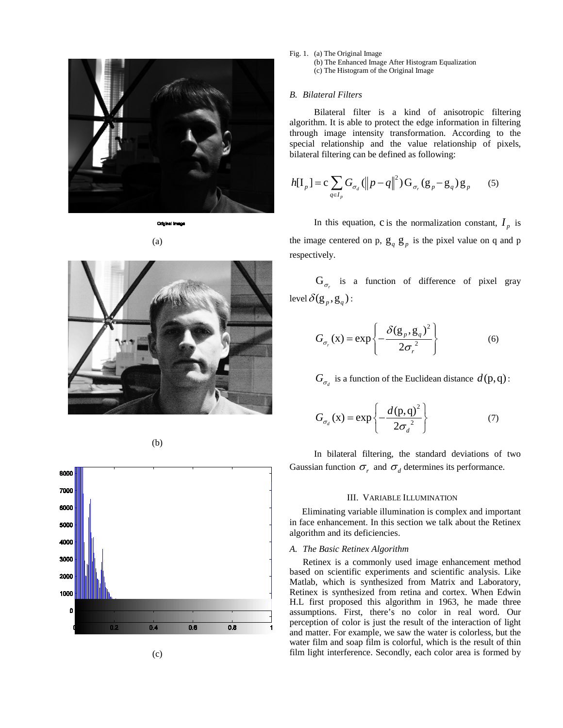





(b)



Fig. 1. (a) The Original Image (b) The Enhanced Image After Histogram Equalization (c) The Histogram of the Original Image

# *B. Bilateral Filters*

Bilateral filter is a kind of anisotropic filtering algorithm. It is able to protect the edge information in filtering through image intensity transformation. According to the special relationship and the value relationship of pixels, bilateral filtering can be defined as following:

$$
h[\mathbf{I}_p] = \mathbf{c} \sum_{q \in I_p} G_{\sigma_d} (\Vert p - q \Vert^2) \mathbf{G}_{\sigma_p} (\mathbf{g}_p - \mathbf{g}_q) \mathbf{g}_p \qquad (5)
$$

In this equation, c is the normalization constant,  $I_p$  is the image centered on p,  $g_q$   $g_p$  is the pixel value on q and p respectively.

 $G_{\sigma}$  is a function of difference of pixel gray level  $\delta(\mathbf{g}_p, \mathbf{g}_q)$  :

$$
G_{\sigma_r}(x) = \exp\left\{-\frac{\delta(g_p, g_q)^2}{2\sigma_r^2}\right\}
$$
 (6)

 $G_{\sigma}$  is a function of the Euclidean distance  $d(p,q)$ :

$$
G_{\sigma_d}(x) = \exp\left\{-\frac{d(p,q)^2}{2\sigma_d^2}\right\} \tag{7}
$$

In bilateral filtering, the standard deviations of two Gaussian function  $\sigma_r$  and  $\sigma_d$  determines its performance.

### III. VARIABLE ILLUMINATION

Eliminating variable illumination is complex and important in face enhancement. In this section we talk about the Retinex algorithm and its deficiencies.

# *A. The Basic Retinex Algorithm*

Retinex is a commonly used image enhancement method based on scientific experiments and scientific analysis. Like Matlab, which is synthesized from Matrix and Laboratory, Retinex is synthesized from retina and cortex. When Edwin H.L first proposed this algorithm in 1963, he made three assumptions. First, there's no color in real word. Our perception of color is just the result of the interaction of light and matter. For example, we saw the water is colorless, but the water film and soap film is colorful, which is the result of thin film light interference. Secondly, each color area is formed by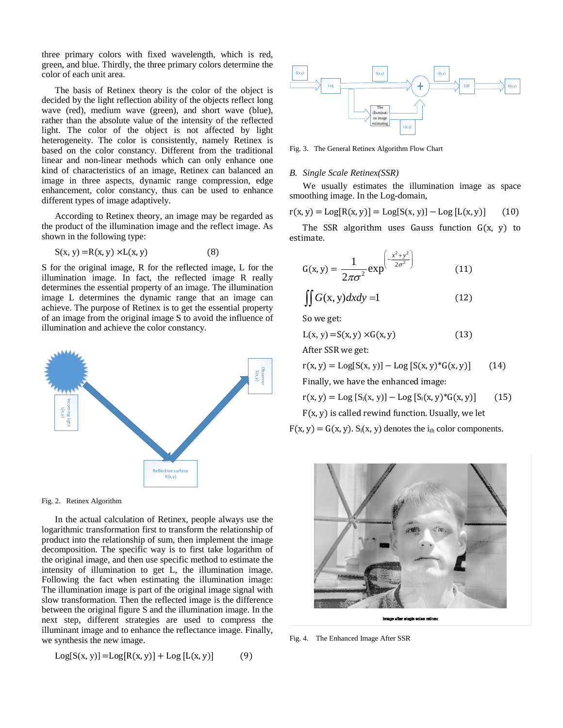three primary colors with fixed wavelength, which is red, green, and blue. Thirdly, the three primary colors determine the color of each unit area.

The basis of Retinex theory is the color of the object is decided by the light reflection ability of the objects reflect long wave (red), medium wave (green), and short wave (blue), rather than the absolute value of the intensity of the reflected light. The color of the object is not affected by light heterogeneity. The color is consistently, namely Retinex is based on the color constancy. Different from the traditional linear and non-linear methods which can only enhance one kind of characteristics of an image, Retinex can balanced an image in three aspects, dynamic range compression, edge enhancement, color constancy, thus can be used to enhance different types of image adaptively.

According to Retinex theory, an image may be regarded as the product of the illumination image and the reflect image. As shown in the following type:

$$
S(x, y) = R(x, y) \times L(x, y)
$$
 (8)

S for the original image, R for the reflected image, L for the illumination image. In fact, the reflected image R really determines the essential property of an image. The illumination image L determines the dynamic range that an image can achieve. The purpose of Retinex is to get the essential property of an image from the original image S to avoid the influence of illumination and achieve the color constancy.





In the actual calculation of Retinex, people always use the logarithmic transformation first to transform the relationship of product into the relationship of sum, then implement the image decomposition. The specific way is to first take logarithm of the original image, and then use specific method to estimate the intensity of illumination to get L, the illumination image. Following the fact when estimating the illumination image: The illumination image is part of the original image signal with slow transformation. Then the reflected image is the difference between the original figure S and the illumination image. In the next step, different strategies are used to compress the illuminant image and to enhance the reflectance image. Finally, we synthesis the new image.

$$
Log[S(x, y)] = Log[R(x, y)] + Log [L(x, y)] \tag{9}
$$



Fig. 3. The General Retinex Algorithm Flow Chart

#### *B. Single Scale Retinex(SSR)*

We usually estimates the illumination image as space smoothing image. In the Log-domain,

$$
r(x, y) = Log[R(x, y)] = Log[S(x, y)] - Log[L(x, y)] \qquad (10)
$$

The SSR algorithm uses Gauss function  $G(x, y)$  to estimate.

$$
G(x, y) = \frac{1}{2\pi\sigma^2} \exp^{\left(-\frac{x^2 + y^2}{2\sigma^2}\right)}
$$
(11)

$$
\iint G(x, y) dx dy = 1 \tag{12}
$$

So we get:

$$
L(x, y) = S(x, y) \times G(x, y) \tag{13}
$$

After SSR we get:

$$
r(x, y) = Log[S(x, y)] - Log [S(x, y)^*G(x, y)] \qquad (14)
$$

Finally, we have the enhanced image:

$$
r(x, y) = Log [S_i(x, y)] - Log [S_i(x, y)^* G(x, y)] \qquad (15)
$$

 $F(x, y)$  is called rewind function. Usually, we let

 $F(x, y) = G(x, y)$ .  $S_i(x, y)$  denotes the  $i_{th}$  color components.



after eingle sciae retine

Fig. 4. The Enhanced Image After SSR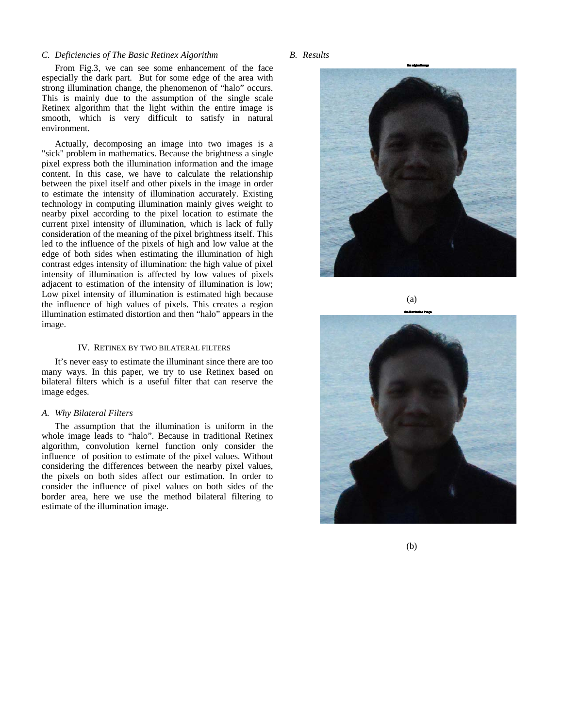## *C. Deficiencies of The Basic Retinex Algorithm*

From Fig.3, we can see some enhancement of the face especially the dark part. But for some edge of the area with strong illumination change, the phenomenon of "halo" occurs. This is mainly due to the assumption of the single scale Retinex algorithm that the light within the entire image is smooth, which is very difficult to satisfy in natural environment.

Actually, decomposing an image into two images is a "sick" problem in mathematics. Because the brightness a single pixel express both the illumination information and the image content. In this case, we have to calculate the relationship between the pixel itself and other pixels in the image in order to estimate the intensity of illumination accurately. Existing technology in computing illumination mainly gives weight to nearby pixel according to the pixel location to estimate the current pixel intensity of illumination, which is lack of fully consideration of the meaning of the pixel brightness itself. This led to the influence of the pixels of high and low value at the edge of both sides when estimating the illumination of high contrast edges intensity of illumination: the high value of pixel intensity of illumination is affected by low values of pixels adjacent to estimation of the intensity of illumination is low; Low pixel intensity of illumination is estimated high because the influence of high values of pixels. This creates a region illumination estimated distortion and then "halo" appears in the image.

# IV. RETINEX BY TWO BILATERAL FILTERS

It's never easy to estimate the illuminant since there are too many ways. In this paper, we try to use Retinex based on bilateral filters which is a useful filter that can reserve the image edges.

### *A. Why Bilateral Filters*

The assumption that the illumination is uniform in the whole image leads to "halo". Because in traditional Retinex algorithm, convolution kernel function only consider the influence of position to estimate of the pixel values. Without considering the differences between the nearby pixel values, the pixels on both sides affect our estimation. In order to consider the influence of pixel values on both sides of the border area, here we use the method bilateral filtering to estimate of the illumination image.

## *B. Results*



(a)



(b)